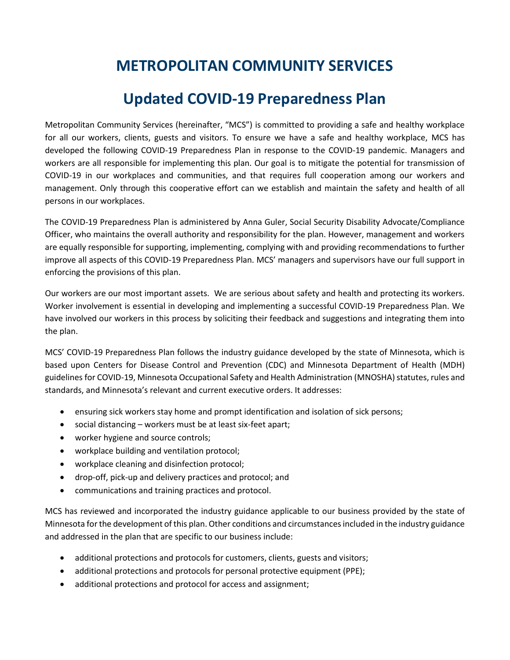# **METROPOLITAN COMMUNITY SERVICES**

# **Updated COVID-19 Preparedness Plan**

Metropolitan Community Services (hereinafter, "MCS") is committed to providing a safe and healthy workplace for all our workers, clients, guests and visitors. To ensure we have a safe and healthy workplace, MCS has developed the following COVID-19 Preparedness Plan in response to the COVID-19 pandemic. Managers and workers are all responsible for implementing this plan. Our goal is to mitigate the potential for transmission of COVID-19 in our workplaces and communities, and that requires full cooperation among our workers and management. Only through this cooperative effort can we establish and maintain the safety and health of all persons in our workplaces.

The COVID-19 Preparedness Plan is administered by Anna Guler, Social Security Disability Advocate/Compliance Officer, who maintains the overall authority and responsibility for the plan. However, management and workers are equally responsible for supporting, implementing, complying with and providing recommendations to further improve all aspects of this COVID-19 Preparedness Plan. MCS' managers and supervisors have our full support in enforcing the provisions of this plan.

Our workers are our most important assets. We are serious about safety and health and protecting its workers. Worker involvement is essential in developing and implementing a successful COVID-19 Preparedness Plan. We have involved our workers in this process by soliciting their feedback and suggestions and integrating them into the plan.

MCS' COVID-19 Preparedness Plan follows the industry guidance developed by the state of Minnesota, which is based upon Centers for Disease Control and Prevention (CDC) and Minnesota Department of Health (MDH) guidelines for COVID-19, Minnesota Occupational Safety and Health Administration (MNOSHA) statutes, rules and standards, and Minnesota's relevant and current executive orders. It addresses:

- ensuring sick workers stay home and prompt identification and isolation of sick persons;
- social distancing workers must be at least six-feet apart;
- worker hygiene and source controls;
- workplace building and ventilation protocol;
- workplace cleaning and disinfection protocol;
- drop-off, pick-up and delivery practices and protocol; and
- communications and training practices and protocol.

MCS has reviewed and incorporated the industry guidance applicable to our business provided by the state of Minnesota for the development of this plan. Other conditions and circumstances included in the industry guidance and addressed in the plan that are specific to our business include:

- additional protections and protocols for customers, clients, guests and visitors;
- additional protections and protocols for personal protective equipment (PPE);
- additional protections and protocol for access and assignment;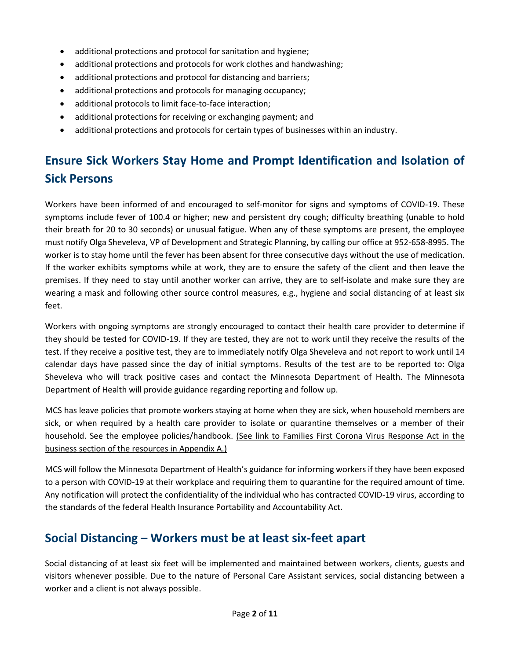- additional protections and protocol for sanitation and hygiene;
- additional protections and protocols for work clothes and handwashing;
- additional protections and protocol for distancing and barriers;
- additional protections and protocols for managing occupancy;
- additional protocols to limit face-to-face interaction;
- additional protections for receiving or exchanging payment; and
- additional protections and protocols for certain types of businesses within an industry.

# **Ensure Sick Workers Stay Home and Prompt Identification and Isolation of Sick Persons**

Workers have been informed of and encouraged to self-monitor for signs and symptoms of COVID-19. These symptoms include fever of 100.4 or higher; new and persistent dry cough; difficulty breathing (unable to hold their breath for 20 to 30 seconds) or unusual fatigue. When any of these symptoms are present, the employee must notify Olga Sheveleva, VP of Development and Strategic Planning, by calling our office at 952-658-8995. The worker is to stay home until the fever has been absent for three consecutive days without the use of medication. If the worker exhibits symptoms while at work, they are to ensure the safety of the client and then leave the premises. If they need to stay until another worker can arrive, they are to self-isolate and make sure they are wearing a mask and following other source control measures, e.g., hygiene and social distancing of at least six feet.

Workers with ongoing symptoms are strongly encouraged to contact their health care provider to determine if they should be tested for COVID-19. If they are tested, they are not to work until they receive the results of the test. If they receive a positive test, they are to immediately notify Olga Sheveleva and not report to work until 14 calendar days have passed since the day of initial symptoms. Results of the test are to be reported to: Olga Sheveleva who will track positive cases and contact the Minnesota Department of Health. The Minnesota Department of Health will provide guidance regarding reporting and follow up.

MCS has leave policies that promote workers staying at home when they are sick, when household members are sick, or when required by a health care provider to isolate or quarantine themselves or a member of their household. See the employee policies/handbook. (See link to Families First Corona Virus Response Act in the business section of the resources in Appendix A.)

MCS will follow the Minnesota Department of Health's guidance for informing workers if they have been exposed to a person with COVID-19 at their workplace and requiring them to quarantine for the required amount of time. Any notification will protect the confidentiality of the individual who has contracted COVID-19 virus, according to the standards of the federal Health Insurance Portability and Accountability Act.

## **Social Distancing – Workers must be at least six-feet apart**

Social distancing of at least six feet will be implemented and maintained between workers, clients, guests and visitors whenever possible. Due to the nature of Personal Care Assistant services, social distancing between a worker and a client is not always possible.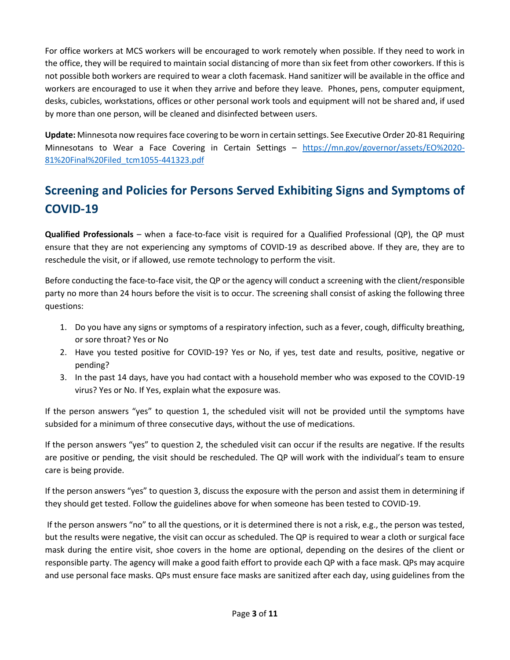For office workers at MCS workers will be encouraged to work remotely when possible. If they need to work in the office, they will be required to maintain social distancing of more than six feet from other coworkers. If this is not possible both workers are required to wear a cloth facemask. Hand sanitizer will be available in the office and workers are encouraged to use it when they arrive and before they leave. Phones, pens, computer equipment, desks, cubicles, workstations, offices or other personal work tools and equipment will not be shared and, if used by more than one person, will be cleaned and disinfected between users.

**Update:** Minnesota now requires face covering to be worn in certain settings. See Executive Order 20-81 Requiring Minnesotans to Wear a Face Covering in Certain Settings – [https://mn.gov/governor/assets/EO%2020-](https://mn.gov/governor/assets/EO%2020-81%20Final%20Filed_tcm1055-441323.pdf) [81%20Final%20Filed\\_tcm1055-441323.pdf](https://mn.gov/governor/assets/EO%2020-81%20Final%20Filed_tcm1055-441323.pdf)

# **Screening and Policies for Persons Served Exhibiting Signs and Symptoms of COVID-19**

**Qualified Professionals** – when a face-to-face visit is required for a Qualified Professional (QP), the QP must ensure that they are not experiencing any symptoms of COVID-19 as described above. If they are, they are to reschedule the visit, or if allowed, use remote technology to perform the visit.

Before conducting the face-to-face visit, the QP or the agency will conduct a screening with the client/responsible party no more than 24 hours before the visit is to occur. The screening shall consist of asking the following three questions:

- 1. Do you have any signs or symptoms of a respiratory infection, such as a fever, cough, difficulty breathing, or sore throat? Yes or No
- 2. Have you tested positive for COVID-19? Yes or No, if yes, test date and results, positive, negative or pending?
- 3. In the past 14 days, have you had contact with a household member who was exposed to the COVID-19 virus? Yes or No. If Yes, explain what the exposure was.

If the person answers "yes" to question 1, the scheduled visit will not be provided until the symptoms have subsided for a minimum of three consecutive days, without the use of medications.

If the person answers "yes" to question 2, the scheduled visit can occur if the results are negative. If the results are positive or pending, the visit should be rescheduled. The QP will work with the individual's team to ensure care is being provide.

If the person answers "yes" to question 3, discuss the exposure with the person and assist them in determining if they should get tested. Follow the guidelines above for when someone has been tested to COVID-19.

If the person answers "no" to all the questions, or it is determined there is not a risk, e.g., the person was tested, but the results were negative, the visit can occur as scheduled. The QP is required to wear a cloth or surgical face mask during the entire visit, shoe covers in the home are optional, depending on the desires of the client or responsible party. The agency will make a good faith effort to provide each QP with a face mask. QPs may acquire and use personal face masks. QPs must ensure face masks are sanitized after each day, using guidelines from the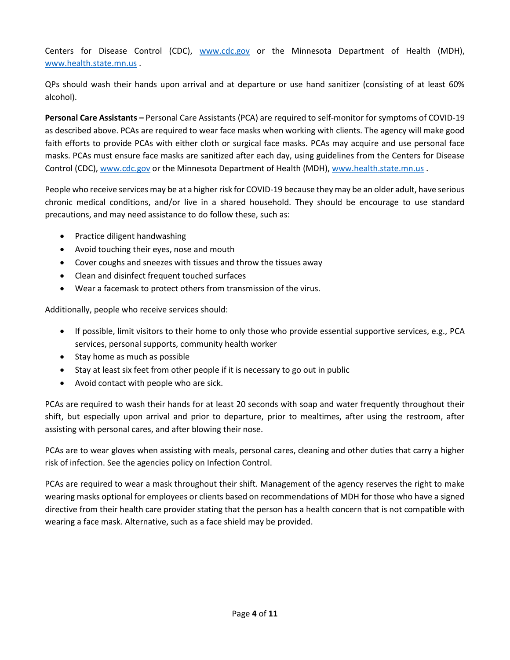Centers for Disease Control (CDC), [www.cdc.gov](http://www.cdc.gov/) or the Minnesota Department of Health (MDH), [www.health.state.mn.us](http://www.health.state.mn.us/) .

QPs should wash their hands upon arrival and at departure or use hand sanitizer (consisting of at least 60% alcohol).

**Personal Care Assistants –** Personal Care Assistants (PCA) are required to self-monitor for symptoms of COVID-19 as described above. PCAs are required to wear face masks when working with clients. The agency will make good faith efforts to provide PCAs with either cloth or surgical face masks. PCAs may acquire and use personal face masks. PCAs must ensure face masks are sanitized after each day, using guidelines from the Centers for Disease Control (CDC), [www.cdc.gov](http://www.cdc.gov/) or the Minnesota Department of Health (MDH)[, www.health.state.mn.us](http://www.health.state.mn.us/) .

People who receive services may be at a higher risk for COVID-19 because they may be an older adult, have serious chronic medical conditions, and/or live in a shared household. They should be encourage to use standard precautions, and may need assistance to do follow these, such as:

- Practice diligent handwashing
- Avoid touching their eyes, nose and mouth
- Cover coughs and sneezes with tissues and throw the tissues away
- Clean and disinfect frequent touched surfaces
- Wear a facemask to protect others from transmission of the virus.

Additionally, people who receive services should:

- If possible, limit visitors to their home to only those who provide essential supportive services, e.g., PCA services, personal supports, community health worker
- Stay home as much as possible
- Stay at least six feet from other people if it is necessary to go out in public
- Avoid contact with people who are sick.

PCAs are required to wash their hands for at least 20 seconds with soap and water frequently throughout their shift, but especially upon arrival and prior to departure, prior to mealtimes, after using the restroom, after assisting with personal cares, and after blowing their nose.

PCAs are to wear gloves when assisting with meals, personal cares, cleaning and other duties that carry a higher risk of infection. See the agencies policy on Infection Control.

PCAs are required to wear a mask throughout their shift. Management of the agency reserves the right to make wearing masks optional for employees or clients based on recommendations of MDH for those who have a signed directive from their health care provider stating that the person has a health concern that is not compatible with wearing a face mask. Alternative, such as a face shield may be provided.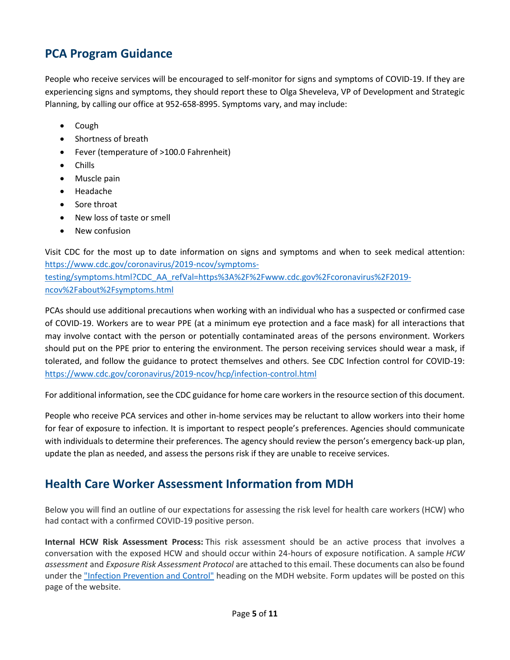### **PCA Program Guidance**

People who receive services will be encouraged to self-monitor for signs and symptoms of COVID-19. If they are experiencing signs and symptoms, they should report these to Olga Sheveleva, VP of Development and Strategic Planning, by calling our office at 952-658-8995. Symptoms vary, and may include:

- Cough
- Shortness of breath
- Fever (temperature of >100.0 Fahrenheit)
- Chills
- Muscle pain
- Headache
- Sore throat
- New loss of taste or smell
- New confusion

Visit CDC for the most up to date information on signs and symptoms and when to seek medical attention: [https://www.cdc.gov/coronavirus/2019-ncov/symptoms](https://www.cdc.gov/coronavirus/2019-ncov/symptoms-testing/symptoms.html?CDC_AA_refVal=https%3A%2F%2Fwww.cdc.gov%2Fcoronavirus%2F2019-ncov%2Fabout%2Fsymptoms.html)[testing/symptoms.html?CDC\\_AA\\_refVal=https%3A%2F%2Fwww.cdc.gov%2Fcoronavirus%2F2019](https://www.cdc.gov/coronavirus/2019-ncov/symptoms-testing/symptoms.html?CDC_AA_refVal=https%3A%2F%2Fwww.cdc.gov%2Fcoronavirus%2F2019-ncov%2Fabout%2Fsymptoms.html) [ncov%2Fabout%2Fsymptoms.html](https://www.cdc.gov/coronavirus/2019-ncov/symptoms-testing/symptoms.html?CDC_AA_refVal=https%3A%2F%2Fwww.cdc.gov%2Fcoronavirus%2F2019-ncov%2Fabout%2Fsymptoms.html)

PCAs should use additional precautions when working with an individual who has a suspected or confirmed case of COVID-19. Workers are to wear PPE (at a minimum eye protection and a face mask) for all interactions that may involve contact with the person or potentially contaminated areas of the persons environment. Workers should put on the PPE prior to entering the environment. The person receiving services should wear a mask, if tolerated, and follow the guidance to protect themselves and others. See CDC Infection control for COVID-19: <https://www.cdc.gov/coronavirus/2019-ncov/hcp/infection-control.html>

For additional information, see the CDC guidance for home care workers in the resource section of this document.

People who receive PCA services and other in-home services may be reluctant to allow workers into their home for fear of exposure to infection. It is important to respect people's preferences. Agencies should communicate with individuals to determine their preferences. The agency should review the person's emergency back-up plan, update the plan as needed, and assess the persons risk if they are unable to receive services.

### **Health Care Worker Assessment Information from MDH**

Below you will find an outline of our expectations for assessing the risk level for health care workers (HCW) who had contact with a confirmed COVID-19 positive person.

**Internal HCW Risk Assessment Process:** This risk assessment should be an active process that involves a conversation with the exposed HCW and should occur within 24-hours of exposure notification. A sample *HCW assessment* and *Exposure Risk Assessment Protocol* are attached to this email. These documents can also be found under the ["Infection Prevention and Control"](https://minnesotafirstprovideralliance.wildapricot.org/EmailTracker/LinkTracker.ashx?linkAndRecipientCode=tu2aohFSX66IWUwwmfr0LADvKd8xUoE0y4tE0uHPQXM5ITRgR4mMvMbTqTjP7I2NyV%2fGn6vQnoiehE8it25%2fVdVHdbr53qlc1z7NvctjNN0%3d) heading on the MDH website. Form updates will be posted on this page of the website.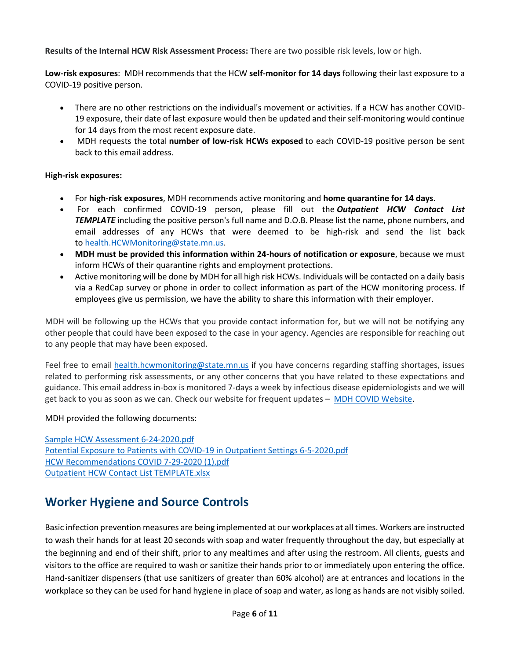**Results of the Internal HCW Risk Assessment Process:** There are two possible risk levels, low or high.

**Low-risk exposures**: MDH recommends that the HCW **self-monitor for 14 days** following their last exposure to a COVID-19 positive person.

- There are no other restrictions on the individual's movement or activities. If a HCW has another COVID-19 exposure, their date of last exposure would then be updated and their self-monitoring would continue for 14 days from the most recent exposure date.
- MDH requests the total **number of low-risk HCWs exposed** to each COVID-19 positive person be sent back to this email address.

#### **High-risk exposures:**

- For **high-risk exposures**, MDH recommends active monitoring and **home quarantine for 14 days**.
- For each confirmed COVID-19 person, please fill out the *Outpatient HCW Contact List*  **TEMPLATE** including the positive person's full name and D.O.B. Please list the name, phone numbers, and email addresses of any HCWs that were deemed to be high-risk and send the list back to [health.HCWMonitoring@state.mn.us.](mailto:health.HCWMonitoring@state.mn.us)
- **MDH must be provided this information within 24-hours of notification or exposure**, because we must inform HCWs of their quarantine rights and employment protections.
- Active monitoring will be done by MDH for all high risk HCWs. Individuals will be contacted on a daily basis via a RedCap survey or phone in order to collect information as part of the HCW monitoring process. If employees give us permission, we have the ability to share this information with their employer.

MDH will be following up the HCWs that you provide contact information for, but we will not be notifying any other people that could have been exposed to the case in your agency. Agencies are responsible for reaching out to any people that may have been exposed.

Feel free to email [health.hcwmonitoring@state.mn.us](mailto:health.hcwmonitoring@state.mn.us) if you have concerns regarding staffing shortages, issues related to performing risk assessments, or any other concerns that you have related to these expectations and guidance. This email address in-box is monitored 7-days a week by infectious disease epidemiologists and we will get back to you as soon as we can. Check our website for frequent updates – [MDH COVID Website.](https://minnesotafirstprovideralliance.wildapricot.org/EmailTracker/LinkTracker.ashx?linkAndRecipientCode=QgRb52vJNmMalLJllz%2fUisOXtojSzSk8EZSeqmVdAaqmxtLTceP6npW1EYm%2fVqplO2mg%2fXP1mrp%2fHIY9TH45vbTHK94eJ4ctiR%2fCq4BN2uc%3d)

#### MDH provided the following documents:

Sample HCW Assessment [6-24-2020.pdf](https://minnesotafirstprovideralliance.wildapricot.org/EmailTracker/LinkTracker.ashx?linkAndRecipientCode=W9beoVt7Ne3YPnHAoKAfKwrP%2bATTe5O%2f9mhyK9Ah1YCXI0h3ulZT3OyoS3Y%2fkGxQ9Dxz1Mk00zHp7%2fira1Rkn4cb7TkEHPWt%2bMOinpPbFgk%3d) Potential Exposure to Patients with COVID-19 in Outpatient Settings [6-5-2020.pdf](https://minnesotafirstprovideralliance.wildapricot.org/EmailTracker/LinkTracker.ashx?linkAndRecipientCode=dlGhl4x1GVNInLLG1tnr8AXlmPhat8m4SnHz205dFdyXr%2bX%2fOmPi%2bAwkw0g0YnOwkrfr90TdwSwTQ3kxh7zGo0T%2bY%2f8fgB%2bP%2bSRyEGufYUM%3d) HCW [Recommendations](https://minnesotafirstprovideralliance.wildapricot.org/EmailTracker/LinkTracker.ashx?linkAndRecipientCode=euiOkGAH2b6anEUPiJnOLfQc8Hx2BFklfsI7JiAA84tBTcdjO7d5CufT0yIAYh34MYgL%2fWZQMEISVaZlt5QKyq4wPpyevAVBW0W37uJiyT0%3d) COVID 7-29-2020 (1).pdf Outpatient HCW Contact List [TEMPLATE.xlsx](https://minnesotafirstprovideralliance.wildapricot.org/EmailTracker/LinkTracker.ashx?linkAndRecipientCode=A6PK2CsMYipWLEbD06EjgxW8ljtjklDhmOWCA47h5vWtRrssxWzSC3VPhE1q5b3OTz6DiwYAKbJhCVeFZXbtrKgalT8fUK9z40MRBIGZly0%3d)

### **Worker Hygiene and Source Controls**

Basic infection prevention measures are being implemented at our workplaces at all times. Workers are instructed to wash their hands for at least 20 seconds with soap and water frequently throughout the day, but especially at the beginning and end of their shift, prior to any mealtimes and after using the restroom. All clients, guests and visitors to the office are required to wash or sanitize their hands prior to or immediately upon entering the office. Hand-sanitizer dispensers (that use sanitizers of greater than 60% alcohol) are at entrances and locations in the workplace so they can be used for hand hygiene in place of soap and water, as long as hands are not visibly soiled.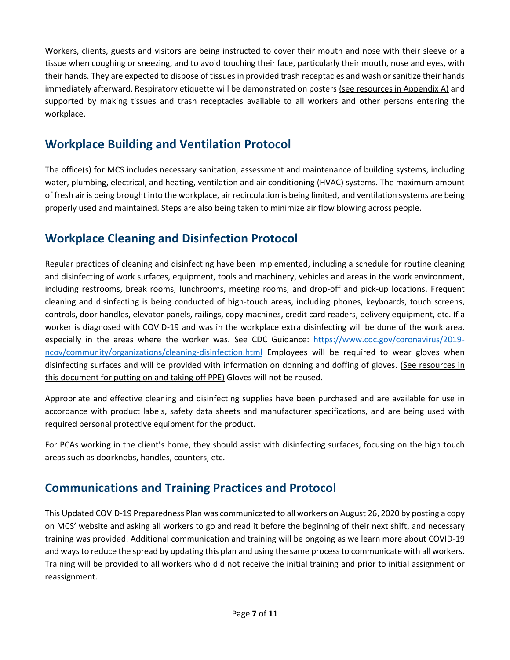Workers, clients, guests and visitors are being instructed to cover their mouth and nose with their sleeve or a tissue when coughing or sneezing, and to avoid touching their face, particularly their mouth, nose and eyes, with their hands. They are expected to dispose of tissues in provided trash receptacles and wash or sanitize their hands immediately afterward. Respiratory etiquette will be demonstrated on posters (see resources in Appendix A) and supported by making tissues and trash receptacles available to all workers and other persons entering the workplace.

### **Workplace Building and Ventilation Protocol**

The office(s) for MCS includes necessary sanitation, assessment and maintenance of building systems, including water, plumbing, electrical, and heating, ventilation and air conditioning (HVAC) systems. The maximum amount of fresh air is being brought into the workplace, air recirculation is being limited, and ventilation systems are being properly used and maintained. Steps are also being taken to minimize air flow blowing across people.

## **Workplace Cleaning and Disinfection Protocol**

Regular practices of cleaning and disinfecting have been implemented, including a schedule for routine cleaning and disinfecting of work surfaces, equipment, tools and machinery, vehicles and areas in the work environment, including restrooms, break rooms, lunchrooms, meeting rooms, and drop-off and pick-up locations. Frequent cleaning and disinfecting is being conducted of high-touch areas, including phones, keyboards, touch screens, controls, door handles, elevator panels, railings, copy machines, credit card readers, delivery equipment, etc. If a worker is diagnosed with COVID-19 and was in the workplace extra disinfecting will be done of the work area, especially in the areas where the worker was. See CDC Guidance: [https://www.cdc.gov/coronavirus/2019](https://www.cdc.gov/coronavirus/2019-ncov/community/organizations/cleaning-disinfection.html) [ncov/community/organizations/cleaning-disinfection.html](https://www.cdc.gov/coronavirus/2019-ncov/community/organizations/cleaning-disinfection.html) Employees will be required to wear gloves when disinfecting surfaces and will be provided with information on donning and doffing of gloves. (See resources in this document for putting on and taking off PPE) Gloves will not be reused.

Appropriate and effective cleaning and disinfecting supplies have been purchased and are available for use in accordance with product labels, safety data sheets and manufacturer specifications, and are being used with required personal protective equipment for the product.

For PCAs working in the client's home, they should assist with disinfecting surfaces, focusing on the high touch areas such as doorknobs, handles, counters, etc.

## **Communications and Training Practices and Protocol**

This Updated COVID-19 Preparedness Plan was communicated to all workers on August 26, 2020 by posting a copy on MCS' website and asking all workers to go and read it before the beginning of their next shift, and necessary training was provided. Additional communication and training will be ongoing as we learn more about COVID-19 and ways to reduce the spread by updating this plan and using the same process to communicate with all workers. Training will be provided to all workers who did not receive the initial training and prior to initial assignment or reassignment.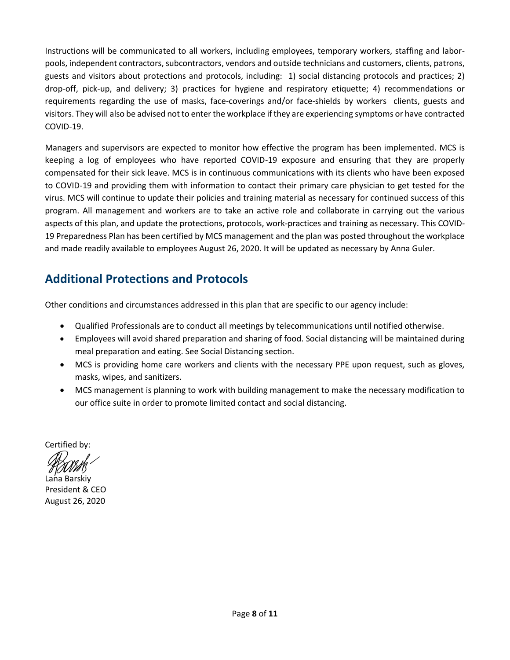Instructions will be communicated to all workers, including employees, temporary workers, staffing and laborpools, independent contractors, subcontractors, vendors and outside technicians and customers, clients, patrons, guests and visitors about protections and protocols, including: 1) social distancing protocols and practices; 2) drop-off, pick-up, and delivery; 3) practices for hygiene and respiratory etiquette; 4) recommendations or requirements regarding the use of masks, face-coverings and/or face-shields by workers clients, guests and visitors. They will also be advised not to enter the workplace if they are experiencing symptoms or have contracted COVID-19.

Managers and supervisors are expected to monitor how effective the program has been implemented. MCS is keeping a log of employees who have reported COVID-19 exposure and ensuring that they are properly compensated for their sick leave. MCS is in continuous communications with its clients who have been exposed to COVID-19 and providing them with information to contact their primary care physician to get tested for the virus. MCS will continue to update their policies and training material as necessary for continued success of this program. All management and workers are to take an active role and collaborate in carrying out the various aspects of this plan, and update the protections, protocols, work-practices and training as necessary. This COVID-19 Preparedness Plan has been certified by MCS management and the plan was posted throughout the workplace and made readily available to employees August 26, 2020. It will be updated as necessary by Anna Guler.

## **Additional Protections and Protocols**

Other conditions and circumstances addressed in this plan that are specific to our agency include:

- Qualified Professionals are to conduct all meetings by telecommunications until notified otherwise.
- Employees will avoid shared preparation and sharing of food. Social distancing will be maintained during meal preparation and eating. See Social Distancing section.
- MCS is providing home care workers and clients with the necessary PPE upon request, such as gloves, masks, wipes, and sanitizers.
- MCS management is planning to work with building management to make the necessary modification to our office suite in order to promote limited contact and social distancing.

Certified by:

Lana Barskiy

President & CEO August 26, 2020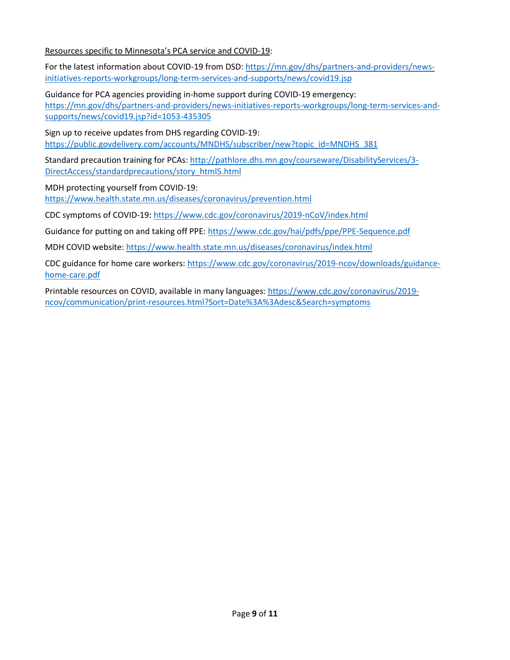Resources specific to Minnesota's PCA service and COVID-19:

For the latest information about COVID-19 from DSD[: https://mn.gov/dhs/partners-and-providers/news](https://mn.gov/dhs/partners-and-providers/news-initiatives-reports-workgroups/long-term-services-and-supports/news/covid19.jsp)[initiatives-reports-workgroups/long-term-services-and-supports/news/covid19.jsp](https://mn.gov/dhs/partners-and-providers/news-initiatives-reports-workgroups/long-term-services-and-supports/news/covid19.jsp)

Guidance for PCA agencies providing in-home support during COVID-19 emergency: [https://mn.gov/dhs/partners-and-providers/news-initiatives-reports-workgroups/long-term-services-and](https://mn.gov/dhs/partners-and-providers/news-initiatives-reports-workgroups/long-term-services-and-supports/news/covid19.jsp?id=1053-435305)[supports/news/covid19.jsp?id=1053-435305](https://mn.gov/dhs/partners-and-providers/news-initiatives-reports-workgroups/long-term-services-and-supports/news/covid19.jsp?id=1053-435305)

Sign up to receive updates from DHS regarding COVID-19: [https://public.govdelivery.com/accounts/MNDHS/subscriber/new?topic\\_id=MNDHS\\_381](https://public.govdelivery.com/accounts/MNDHS/subscriber/new?topic_id=MNDHS_381)

Standard precaution training for PCAs: [http://pathlore.dhs.mn.gov/courseware/DisabilityServices/3-](http://pathlore.dhs.mn.gov/courseware/DisabilityServices/3-DirectAccess/standardprecautions/story_html5.html) [DirectAccess/standardprecautions/story\\_html5.html](http://pathlore.dhs.mn.gov/courseware/DisabilityServices/3-DirectAccess/standardprecautions/story_html5.html)

MDH protecting yourself from COVID-19:

<https://www.health.state.mn.us/diseases/coronavirus/prevention.html>

CDC symptoms of COVID-19[: https://www.cdc.gov/coronavirus/2019-nCoV/index.html](https://www.cdc.gov/coronavirus/2019-nCoV/index.html)

Guidance for putting on and taking off PPE[: https://www.cdc.gov/hai/pdfs/ppe/PPE-Sequence.pdf](https://www.cdc.gov/hai/pdfs/ppe/PPE-Sequence.pdf)

MDH COVID website:<https://www.health.state.mn.us/diseases/coronavirus/index.html>

CDC guidance for home care workers: [https://www.cdc.gov/coronavirus/2019-ncov/downloads/guidance](https://www.cdc.gov/coronavirus/2019-ncov/downloads/guidance-home-care.pdf)[home-care.pdf](https://www.cdc.gov/coronavirus/2019-ncov/downloads/guidance-home-care.pdf)

Printable resources on COVID, available in many languages[: https://www.cdc.gov/coronavirus/2019](https://www.cdc.gov/coronavirus/2019-ncov/communication/print-resources.html?Sort=Date%3A%3Adesc&Search=symptoms) [ncov/communication/print-resources.html?Sort=Date%3A%3Adesc&Search=symptoms](https://www.cdc.gov/coronavirus/2019-ncov/communication/print-resources.html?Sort=Date%3A%3Adesc&Search=symptoms)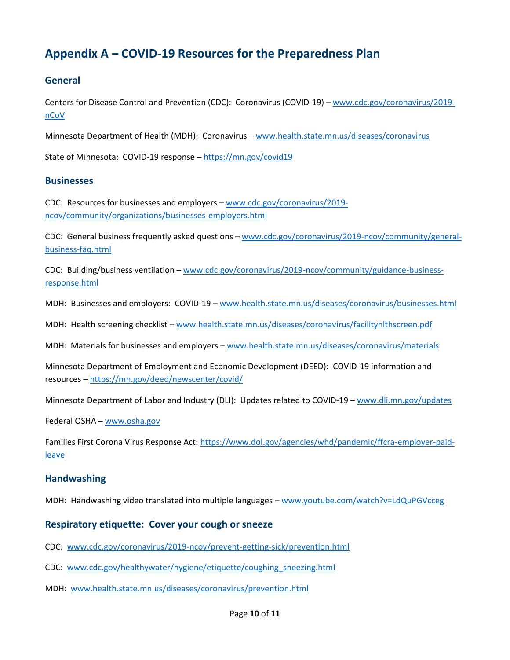## **Appendix A – COVID-19 Resources for the Preparedness Plan**

#### **General**

Centers for Disease Control and Prevention (CDC): Coronavirus (COVID-19) – [www.cdc.gov/coronavirus/2019](http://www.cdc.gov/coronavirus/2019-nCoV) [nCoV](http://www.cdc.gov/coronavirus/2019-nCoV)

Minnesota Department of Health (MDH): Coronavirus – [www.health.state.mn.us/diseases/coronavirus](http://www.health.state.mn.us/diseases/coronavirus)

State of Minnesota: COVID-19 response – [https://mn.gov/covid19](https://mn.gov/covid19/)

#### **Businesses**

CDC: Resources for businesses and employers – [www.cdc.gov/coronavirus/2019](http://www.cdc.gov/coronavirus/2019-ncov/community/organizations/businesses-employers.html) [ncov/community/organizations/businesses-employers.html](http://www.cdc.gov/coronavirus/2019-ncov/community/organizations/businesses-employers.html)

CDC: General business frequently asked questions – [www.cdc.gov/coronavirus/2019-ncov/community/general](http://www.cdc.gov/coronavirus/2019-ncov/community/general-business-faq.html)[business-faq.html](http://www.cdc.gov/coronavirus/2019-ncov/community/general-business-faq.html)

CDC: Building/business ventilation – [www.cdc.gov/coronavirus/2019-ncov/community/guidance-business](http://www.cdc.gov/coronavirus/2019-ncov/community/guidance-business-response.html)[response.html](http://www.cdc.gov/coronavirus/2019-ncov/community/guidance-business-response.html)

MDH: Businesses and employers: COVID-19 – [www.health.state.mn.us/diseases/coronavirus/businesses.html](http://www.health.state.mn.us/diseases/coronavirus/businesses.html)

MDH: Health screening checklist – [www.health.state.mn.us/diseases/coronavirus/facilityhlthscreen.pdf](http://www.health.state.mn.us/diseases/coronavirus/facilityhlthscreen.pdf)

MDH: Materials for businesses and employers – [www.health.state.mn.us/diseases/coronavirus/materials](http://www.health.state.mn.us/diseases/coronavirus/materials)

Minnesota Department of Employment and Economic Development (DEED): COVID-19 information and resources – <https://mn.gov/deed/newscenter/covid/>

Minnesota Department of Labor and Industry (DLI): Updates related to COVID-19 - [www.dli.mn.gov/updates](http://www.dli.mn.gov/updates)

Federal OSHA – [www.osha.gov](http://www.osha.gov/)

Families First Corona Virus Response Act: [https://www.dol.gov/agencies/whd/pandemic/ffcra-employer-paid](https://www.dol.gov/agencies/whd/pandemic/ffcra-employer-paid-leave)[leave](https://www.dol.gov/agencies/whd/pandemic/ffcra-employer-paid-leave)

#### **Handwashing**

MDH: Handwashing video translated into multiple languages – [www.youtube.com/watch?v=LdQuPGVcceg](http://www.youtube.com/watch?v=LdQuPGVcceg)

#### **Respiratory etiquette: Cover your cough or sneeze**

- CDC: [www.cdc.gov/coronavirus/2019-ncov/prevent-getting-sick/prevention.html](http://www.cdc.gov/coronavirus/2019-ncov/prevent-getting-sick/prevention.html)
- CDC: [www.cdc.gov/healthywater/hygiene/etiquette/coughing\\_sneezing.html](http://www.cdc.gov/healthywater/hygiene/etiquette/coughing_sneezing.html)
- MDH: [www.health.state.mn.us/diseases/coronavirus/prevention.html](http://www.health.state.mn.us/diseases/coronavirus/prevention.html)